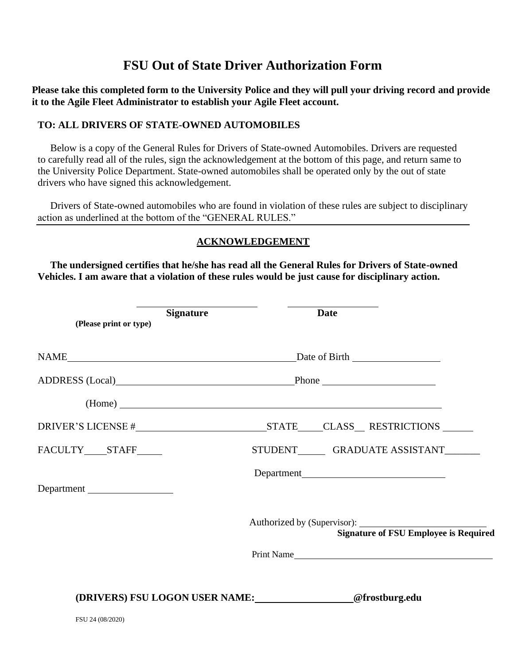## **FSU Out of State Driver Authorization Form**

**Please take this completed form to the University Police and they will pull your driving record and provide it to the Agile Fleet Administrator to establish your Agile Fleet account.**

## **TO: ALL DRIVERS OF STATE-OWNED AUTOMOBILES**

Below is a copy of the General Rules for Drivers of State-owned Automobiles. Drivers are requested to carefully read all of the rules, sign the acknowledgement at the bottom of this page, and return same to the University Police Department. State-owned automobiles shall be operated only by the out of state drivers who have signed this acknowledgement.

Drivers of State-owned automobiles who are found in violation of these rules are subject to disciplinary action as underlined at the bottom of the "GENERAL RULES."

## **ACKNOWLEDGEMENT**

**The undersigned certifies that he/she has read all the General Rules for Drivers of State-owned Vehicles. I am aware that a violation of these rules would be just cause for disciplinary action.**

| (Please print or type) | <b>Signature</b> |                             | <b>Date</b>                                   |
|------------------------|------------------|-----------------------------|-----------------------------------------------|
|                        |                  |                             |                                               |
|                        |                  | ADDRESS (Local) Phone Phone |                                               |
|                        |                  |                             |                                               |
|                        |                  |                             |                                               |
| FACULTY____STAFF_____  |                  |                             | STUDENT________ GRADUATE ASSISTANT________    |
| Department             |                  |                             |                                               |
|                        |                  |                             | <b>Signature of FSU Employee is Required</b>  |
|                        |                  |                             | Print Name                                    |
|                        |                  |                             | (DRIVERS) FSU LOGON USER NAME: @frostburg.edu |
| FSU 24 (08/2020)       |                  |                             |                                               |